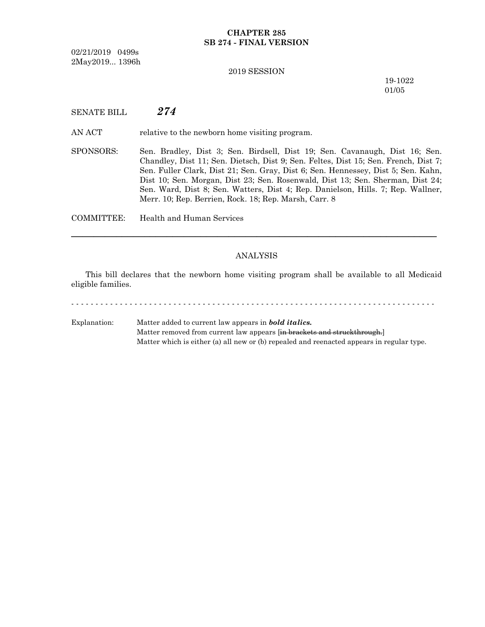# **CHAPTER 285 SB 274 - FINAL VERSION**

02/21/2019 0499s 2May2019... 1396h

### 2019 SESSION

19-1022 01/05

SENATE BILL *274*

AN ACT relative to the newborn home visiting program.

SPONSORS: Sen. Bradley, Dist 3; Sen. Birdsell, Dist 19; Sen. Cavanaugh, Dist 16; Sen. Chandley, Dist 11; Sen. Dietsch, Dist 9; Sen. Feltes, Dist 15; Sen. French, Dist 7; Sen. Fuller Clark, Dist 21; Sen. Gray, Dist 6; Sen. Hennessey, Dist 5; Sen. Kahn, Dist 10; Sen. Morgan, Dist 23; Sen. Rosenwald, Dist 13; Sen. Sherman, Dist 24; Sen. Ward, Dist 8; Sen. Watters, Dist 4; Rep. Danielson, Hills. 7; Rep. Wallner, Merr. 10; Rep. Berrien, Rock. 18; Rep. Marsh, Carr. 8

COMMITTEE: Health and Human Services

### ANALYSIS

─────────────────────────────────────────────────────────────────

This bill declares that the newborn home visiting program shall be available to all Medicaid eligible families.

- - - - - - - - - - - - - - - - - - - - - - - - - - - - - - - - - - - - - - - - - - - - - - - - - - - - - - - - - - - - - - - - - - - - - - - - - - -

Explanation: Matter added to current law appears in *bold italics.* Matter removed from current law appears [in brackets and struckthrough.] Matter which is either (a) all new or (b) repealed and reenacted appears in regular type.